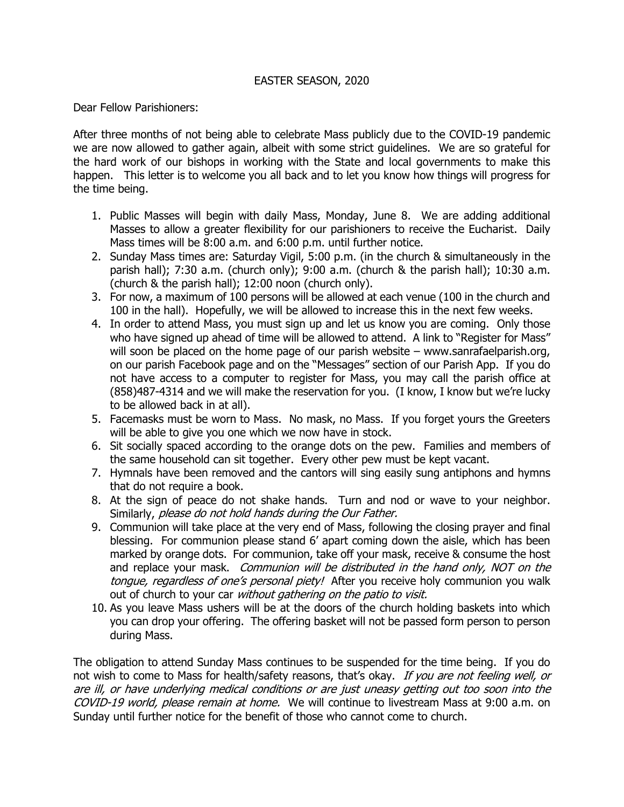## EASTER SEASON, 2020

Dear Fellow Parishioners:

After three months of not being able to celebrate Mass publicly due to the COVID-19 pandemic we are now allowed to gather again, albeit with some strict guidelines. We are so grateful for the hard work of our bishops in working with the State and local governments to make this happen. This letter is to welcome you all back and to let you know how things will progress for the time being.

- 1. Public Masses will begin with daily Mass, Monday, June 8. We are adding additional Masses to allow a greater flexibility for our parishioners to receive the Eucharist. Daily Mass times will be 8:00 a.m. and 6:00 p.m. until further notice.
- 2. Sunday Mass times are: Saturday Vigil, 5:00 p.m. (in the church & simultaneously in the parish hall); 7:30 a.m. (church only); 9:00 a.m. (church & the parish hall); 10:30 a.m. (church & the parish hall); 12:00 noon (church only).
- 3. For now, a maximum of 100 persons will be allowed at each venue (100 in the church and 100 in the hall). Hopefully, we will be allowed to increase this in the next few weeks.
- 4. In order to attend Mass, you must sign up and let us know you are coming. Only those who have signed up ahead of time will be allowed to attend. A link to "Register for Mass" will soon be placed on the home page of our parish website – www.sanrafaelparish.org, on our parish Facebook page and on the "Messages" section of our Parish App. If you do not have access to a computer to register for Mass, you may call the parish office at (858)487-4314 and we will make the reservation for you. (I know, I know but we're lucky to be allowed back in at all).
- 5. Facemasks must be worn to Mass. No mask, no Mass. If you forget yours the Greeters will be able to give you one which we now have in stock.
- 6. Sit socially spaced according to the orange dots on the pew. Families and members of the same household can sit together. Every other pew must be kept vacant.
- 7. Hymnals have been removed and the cantors will sing easily sung antiphons and hymns that do not require a book.
- 8. At the sign of peace do not shake hands. Turn and nod or wave to your neighbor. Similarly, please do not hold hands during the Our Father.
- 9. Communion will take place at the very end of Mass, following the closing prayer and final blessing. For communion please stand 6' apart coming down the aisle, which has been marked by orange dots. For communion, take off your mask, receive & consume the host and replace your mask. Communion will be distributed in the hand only, NOT on the tongue, regardless of one's personal piety! After you receive holy communion you walk out of church to your car without gathering on the patio to visit.
- 10. As you leave Mass ushers will be at the doors of the church holding baskets into which you can drop your offering. The offering basket will not be passed form person to person during Mass.

The obligation to attend Sunday Mass continues to be suspended for the time being. If you do not wish to come to Mass for health/safety reasons, that's okay. If you are not feeling well, or are ill, or have underlying medical conditions or are just uneasy getting out too soon into the COVID-19 world, please remain at home. We will continue to livestream Mass at 9:00 a.m. on Sunday until further notice for the benefit of those who cannot come to church.